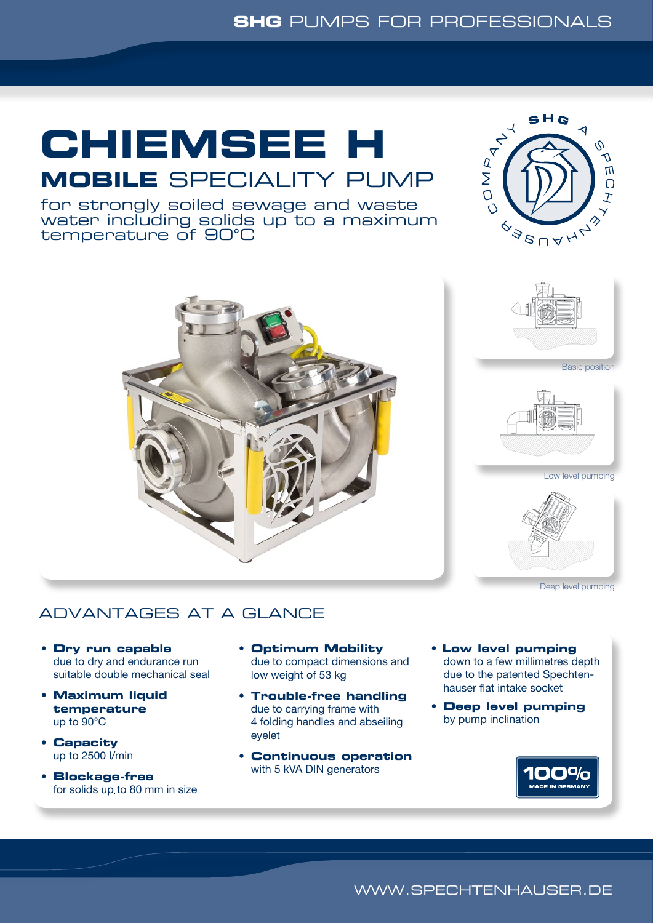### **SHG** PUMPS FOR PROFESSIONALS

# **CHIEMSEE H**

# **MOBILE** SPECIALITY PUMP

for strongly soiled sewage and waste water including solids up to a maximum temperature of 90°C









Low level pumping



Deep level pumping

## ADVANTAGES AT A GLANCE

- **Dry run capable** due to dry and endurance run suitable double mechanical seal
- **Maximum liquid temperature** up to 90°C
- **Capacity** up to 2500 l/min
- **Blockage-free** for solids up to 80 mm in size
- **Optimum Mobility** due to compact dimensions and low weight of 53 kg
- **Trouble-free handling** due to carrying frame with 4 folding handles and abseiling eyelet
- **Continuous operation** with 5 kVA DIN generators
- **Low level pumping** down to a few millimetres depth due to the patented Spechten- hauser flat intake socket
- **Deep level pumping** by pump inclination



WWW.SPECHTENHAUSER.DE